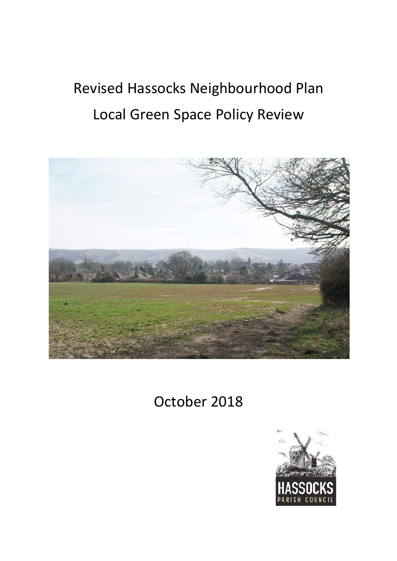# Revised Hassocks Neighbourhood Plan Local Green Space Policy Review



# October 2018

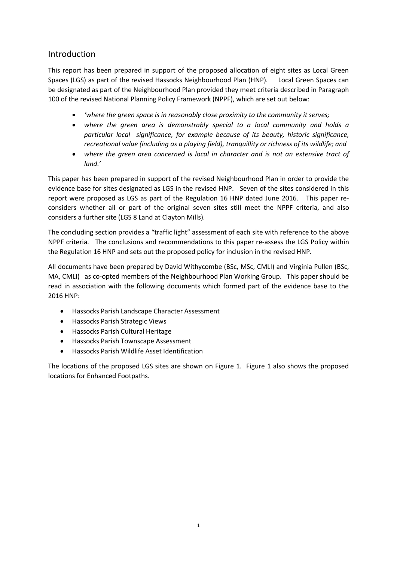# Introduction

This report has been prepared in support of the proposed allocation of eight sites as Local Green Spaces (LGS) as part of the revised Hassocks Neighbourhood Plan (HNP). Local Green Spaces can be designated as part of the Neighbourhood Plan provided they meet criteria described in Paragraph 100 of the revised National Planning Policy Framework (NPPF), which are set out below:

- *'where the green space is in reasonably close proximity to the community it serves;*
- *where the green area is demonstrably special to a local community and holds a particular local significance, for example because of its beauty, historic significance, recreational value (including as a playing field), tranquillity or richness of its wildlife; and*
- *where the green area concerned is local in character and is not an extensive tract of land.'*

This paper has been prepared in support of the revised Neighbourhood Plan in order to provide the evidence base for sites designated as LGS in the revised HNP. Seven of the sites considered in this report were proposed as LGS as part of the Regulation 16 HNP dated June 2016. This paper reconsiders whether all or part of the original seven sites still meet the NPPF criteria, and also considers a further site (LGS 8 Land at Clayton Mills).

The concluding section provides a "traffic light" assessment of each site with reference to the above NPPF criteria. The conclusions and recommendations to this paper re-assess the LGS Policy within the Regulation 16 HNP and sets out the proposed policy for inclusion in the revised HNP.

All documents have been prepared by David Withycombe (BSc, MSc, CMLI) and Virginia Pullen (BSc, MA, CMLI) as co-opted members of the Neighbourhood Plan Working Group. This paper should be read in association with the following documents which formed part of the evidence base to the 2016 HNP:

- Hassocks Parish Landscape Character Assessment
- Hassocks Parish Strategic Views
- Hassocks Parish Cultural Heritage
- Hassocks Parish Townscape Assessment
- Hassocks Parish Wildlife Asset Identification

The locations of the proposed LGS sites are shown on Figure 1. Figure 1 also shows the proposed locations for Enhanced Footpaths.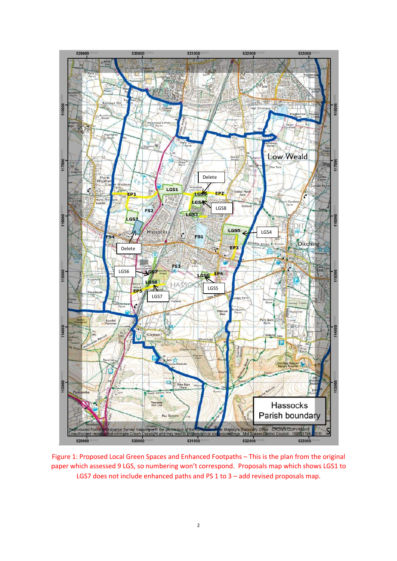

Figure 1: Proposed Local Green Spaces and Enhanced Footpaths – This is the plan from the original paper which assessed 9 LGS, so numbering won't correspond. Proposals map which shows LGS1 to LGS7 does not include enhanced paths and PS 1 to 3 - add revised proposals map.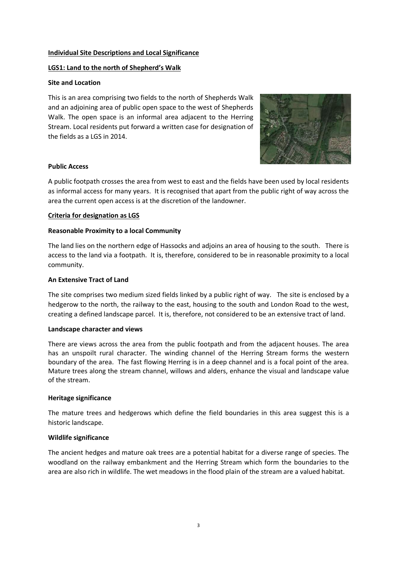# **Individual Site Descriptions and Local Significance**

# **LGS1: Land to the north of Shepherd's Walk**

# **Site and Location**

This is an area comprising two fields to the north of Shepherds Walk and an adjoining area of public open space to the west of Shepherds Walk. The open space is an informal area adjacent to the Herring Stream. Local residents put forward a written case for designation of the fields as a LGS in 2014.



# **Public Access**

A public footpath crosses the area from west to east and the fields have been used by local residents as informal access for many years. It is recognised that apart from the public right of way across the area the current open access is at the discretion of the landowner.

# **Criteria for designation as LGS**

# **Reasonable Proximity to a local Community**

The land lies on the northern edge of Hassocks and adjoins an area of housing to the south. There is access to the land via a footpath. It is, therefore, considered to be in reasonable proximity to a local community.

# **An Extensive Tract of Land**

The site comprises two medium sized fields linked by a public right of way. The site is enclosed by a hedgerow to the north, the railway to the east, housing to the south and London Road to the west, creating a defined landscape parcel. It is, therefore, not considered to be an extensive tract of land.

# **Landscape character and views**

There are views across the area from the public footpath and from the adjacent houses. The area has an unspoilt rural character. The winding channel of the Herring Stream forms the western boundary of the area. The fast flowing Herring is in a deep channel and is a focal point of the area. Mature trees along the stream channel, willows and alders, enhance the visual and landscape value of the stream.

# **Heritage significance**

The mature trees and hedgerows which define the field boundaries in this area suggest this is a historic landscape.

# **Wildlife significance**

The ancient hedges and mature oak trees are a potential habitat for a diverse range of species. The woodland on the railway embankment and the Herring Stream which form the boundaries to the area are also rich in wildlife. The wet meadows in the flood plain of the stream are a valued habitat.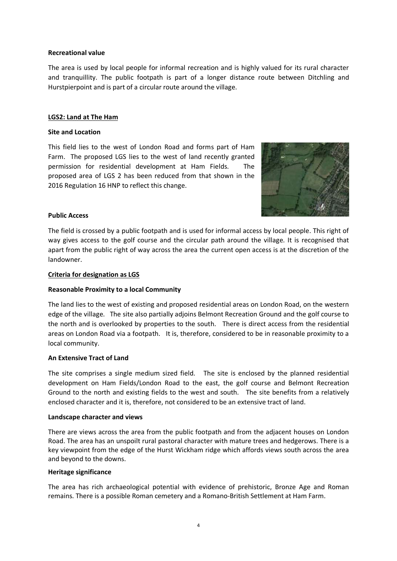# **Recreational value**

The area is used by local people for informal recreation and is highly valued for its rural character and tranquillity. The public footpath is part of a longer distance route between Ditchling and Hurstpierpoint and is part of a circular route around the village.

# **LGS2: Land at The Ham**

# **Site and Location**

This field lies to the west of London Road and forms part of Ham Farm. The proposed LGS lies to the west of land recently granted permission for residential development at Ham Fields. The proposed area of LGS 2 has been reduced from that shown in the 2016 Regulation 16 HNP to reflect this change.



# **Public Access**

The field is crossed by a public footpath and is used for informal access by local people. This right of way gives access to the golf course and the circular path around the village. It is recognised that apart from the public right of way across the area the current open access is at the discretion of the landowner.

#### **Criteria for designation as LGS**

# **Reasonable Proximity to a local Community**

The land lies to the west of existing and proposed residential areas on London Road, on the western edge of the village. The site also partially adjoins Belmont Recreation Ground and the golf course to the north and is overlooked by properties to the south. There is direct access from the residential areas on London Road via a footpath. It is, therefore, considered to be in reasonable proximity to a local community.

# **An Extensive Tract of Land**

The site comprises a single medium sized field. The site is enclosed by the planned residential development on Ham Fields/London Road to the east, the golf course and Belmont Recreation Ground to the north and existing fields to the west and south. The site benefits from a relatively enclosed character and it is, therefore, not considered to be an extensive tract of land.

#### **Landscape character and views**

There are views across the area from the public footpath and from the adjacent houses on London Road. The area has an unspoilt rural pastoral character with mature trees and hedgerows. There is a key viewpoint from the edge of the Hurst Wickham ridge which affords views south across the area and beyond to the downs.

#### **Heritage significance**

The area has rich archaeological potential with evidence of prehistoric, Bronze Age and Roman remains. There is a possible Roman cemetery and a Romano-British Settlement at Ham Farm.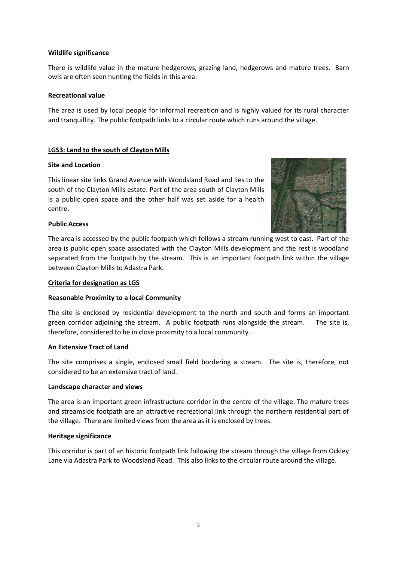There is wildlife value in the mature hedgerows, grazing land, hedgerows and mature trees. Barn owls are often seen hunting the fields in this area.

# **Recreational value**

The area is used by local people for informal recreation and is highly valued for its rural character and tranquillity. The public footpath links to a circular route which runs around the village.

# **LGS3: Land to the south of Clayton Mills**

# **Site and Location**

This linear site links Grand Avenue with Woodsland Road and lies to the south of the Clayton Mills estate. Part of the area south of Clayton Mills is a public open space and the other half was set aside for a health centre.



# **Public Access**

The area is accessed by the public footpath which follows a stream running west to east. Part of the area is public open space associated with the Clayton Mills development and the rest is woodland separated from the footpath by the stream. This is an important footpath link within the village between Clayton Mills to Adastra Park.

# **Criteria for designation as LGS**

# **Reasonable Proximity to a local Community**

The site is enclosed by residential development to the north and south and forms an important green corridor adjoining the stream. A public footpath runs alongside the stream. The site is, therefore, considered to be in close proximity to a local community.

# **An Extensive Tract of Land**

The site comprises a single, enclosed small field bordering a stream. The site is, therefore, not considered to be an extensive tract of land.

# **Landscape character and views**

The area is an important green infrastructure corridor in the centre of the village. The mature trees and streamside footpath are an attractive recreational link through the northern residential part of the village. There are limited views from the area as it is enclosed by trees.

# **Heritage significance**

This corridor is part of an historic footpath link following the stream through the village from Ockley Lane via Adastra Park to Woodsland Road. This also links to the circular route around the village.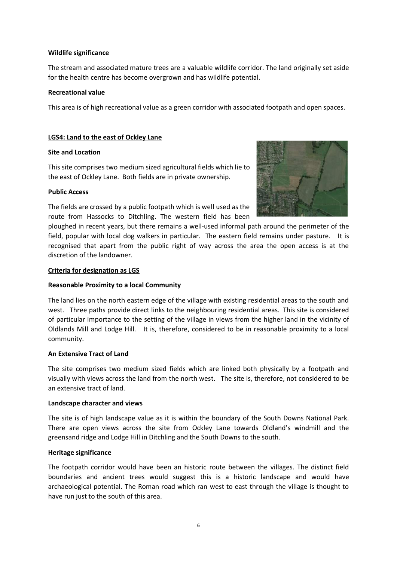The stream and associated mature trees are a valuable wildlife corridor. The land originally set aside for the health centre has become overgrown and has wildlife potential.

# **Recreational value**

This area is of high recreational value as a green corridor with associated footpath and open spaces.

# **LGS4: Land to the east of Ockley Lane**

# **Site and Location**

This site comprises two medium sized agricultural fields which lie to the east of Ockley Lane. Both fields are in private ownership.

# **Public Access**

The fields are crossed by a public footpath which is well used as the route from Hassocks to Ditchling. The western field has been



ploughed in recent years, but there remains a well-used informal path around the perimeter of the field, popular with local dog walkers in particular. The eastern field remains under pasture. It is recognised that apart from the public right of way across the area the open access is at the discretion of the landowner.

# **Criteria for designation as LGS**

# **Reasonable Proximity to a local Community**

The land lies on the north eastern edge of the village with existing residential areas to the south and west. Three paths provide direct links to the neighbouring residential areas. This site is considered of particular importance to the setting of the village in views from the higher land in the vicinity of Oldlands Mill and Lodge Hill. It is, therefore, considered to be in reasonable proximity to a local community.

# **An Extensive Tract of Land**

The site comprises two medium sized fields which are linked both physically by a footpath and visually with views across the land from the north west. The site is, therefore, not considered to be an extensive tract of land.

# **Landscape character and views**

The site is of high landscape value as it is within the boundary of the South Downs National Park. There are open views across the site from Ockley Lane towards Oldland's windmill and the greensand ridge and Lodge Hill in Ditchling and the South Downs to the south.

# **Heritage significance**

The footpath corridor would have been an historic route between the villages. The distinct field boundaries and ancient trees would suggest this is a historic landscape and would have archaeological potential. The Roman road which ran west to east through the village is thought to have run just to the south of this area.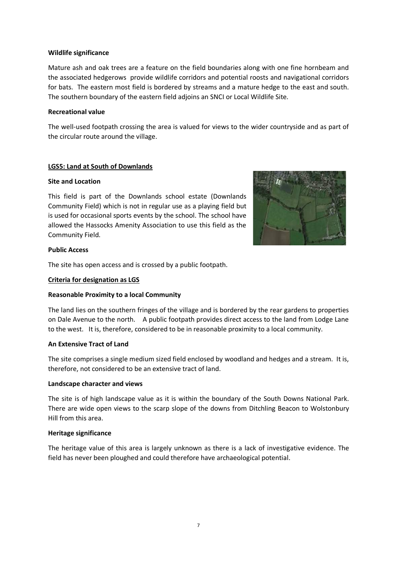Mature ash and oak trees are a feature on the field boundaries along with one fine hornbeam and the associated hedgerows provide wildlife corridors and potential roosts and navigational corridors for bats. The eastern most field is bordered by streams and a mature hedge to the east and south. The southern boundary of the eastern field adjoins an SNCI or Local Wildlife Site.

# **Recreational value**

The well-used footpath crossing the area is valued for views to the wider countryside and as part of the circular route around the village.

#### **LGS5: Land at South of Downlands**

#### **Site and Location**

This field is part of the Downlands school estate (Downlands Community Field) which is not in regular use as a playing field but is used for occasional sports events by the school. The school have allowed the Hassocks Amenity Association to use this field as the Community Field.



# **Public Access**

The site has open access and is crossed by a public footpath.

#### **Criteria for designation as LGS**

#### **Reasonable Proximity to a local Community**

The land lies on the southern fringes of the village and is bordered by the rear gardens to properties on Dale Avenue to the north. A public footpath provides direct access to the land from Lodge Lane to the west. It is, therefore, considered to be in reasonable proximity to a local community.

#### **An Extensive Tract of Land**

The site comprises a single medium sized field enclosed by woodland and hedges and a stream. It is, therefore, not considered to be an extensive tract of land.

#### **Landscape character and views**

The site is of high landscape value as it is within the boundary of the South Downs National Park. There are wide open views to the scarp slope of the downs from Ditchling Beacon to Wolstonbury Hill from this area.

#### **Heritage significance**

The heritage value of this area is largely unknown as there is a lack of investigative evidence. The field has never been ploughed and could therefore have archaeological potential.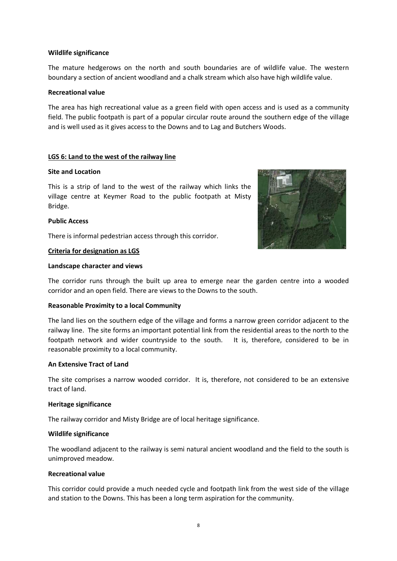The mature hedgerows on the north and south boundaries are of wildlife value. The western boundary a section of ancient woodland and a chalk stream which also have high wildlife value.

# **Recreational value**

The area has high recreational value as a green field with open access and is used as a community field. The public footpath is part of a popular circular route around the southern edge of the village and is well used as it gives access to the Downs and to Lag and Butchers Woods.

# **LGS 6: Land to the west of the railway line**

# **Site and Location**

This is a strip of land to the west of the railway which links the village centre at Keymer Road to the public footpath at Misty Bridge.

#### **Public Access**

There is informal pedestrian access through this corridor.

#### **Criteria for designation as LGS**

#### **Landscape character and views**



#### **Reasonable Proximity to a local Community**

The land lies on the southern edge of the village and forms a narrow green corridor adjacent to the railway line. The site forms an important potential link from the residential areas to the north to the footpath network and wider countryside to the south. It is, therefore, considered to be in reasonable proximity to a local community.

#### **An Extensive Tract of Land**

The site comprises a narrow wooded corridor. It is, therefore, not considered to be an extensive tract of land.

#### **Heritage significance**

The railway corridor and Misty Bridge are of local heritage significance.

#### **Wildlife significance**

The woodland adjacent to the railway is semi natural ancient woodland and the field to the south is unimproved meadow.

#### **Recreational value**

This corridor could provide a much needed cycle and footpath link from the west side of the village and station to the Downs. This has been a long term aspiration for the community.

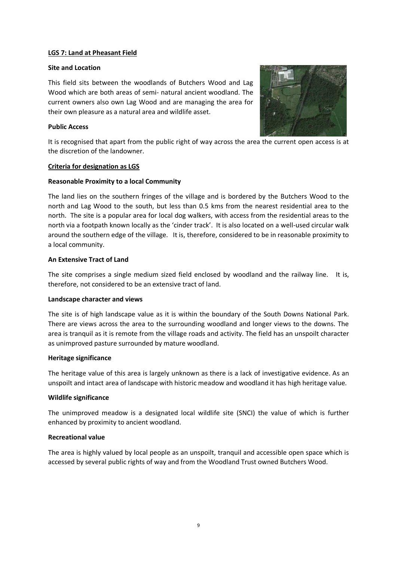# **LGS 7: Land at Pheasant Field**

#### **Site and Location**

This field sits between the woodlands of Butchers Wood and Lag Wood which are both areas of semi- natural ancient woodland. The current owners also own Lag Wood and are managing the area for their own pleasure as a natural area and wildlife asset.

# **Public Access**



It is recognised that apart from the public right of way across the area the current open access is at the discretion of the landowner.

# **Criteria for designation as LGS**

# **Reasonable Proximity to a local Community**

The land lies on the southern fringes of the village and is bordered by the Butchers Wood to the north and Lag Wood to the south, but less than 0.5 kms from the nearest residential area to the north. The site is a popular area for local dog walkers, with access from the residential areas to the north via a footpath known locally as the 'cinder track'. It is also located on a well-used circular walk around the southern edge of the village. It is, therefore, considered to be in reasonable proximity to a local community.

# **An Extensive Tract of Land**

The site comprises a single medium sized field enclosed by woodland and the railway line. It is, therefore, not considered to be an extensive tract of land.

# **Landscape character and views**

The site is of high landscape value as it is within the boundary of the South Downs National Park. There are views across the area to the surrounding woodland and longer views to the downs. The area is tranquil as it is remote from the village roads and activity. The field has an unspoilt character as unimproved pasture surrounded by mature woodland.

#### **Heritage significance**

The heritage value of this area is largely unknown as there is a lack of investigative evidence. As an unspoilt and intact area of landscape with historic meadow and woodland it has high heritage value.

# **Wildlife significance**

The unimproved meadow is a designated local wildlife site (SNCI) the value of which is further enhanced by proximity to ancient woodland.

# **Recreational value**

The area is highly valued by local people as an unspoilt, tranquil and accessible open space which is accessed by several public rights of way and from the Woodland Trust owned Butchers Wood.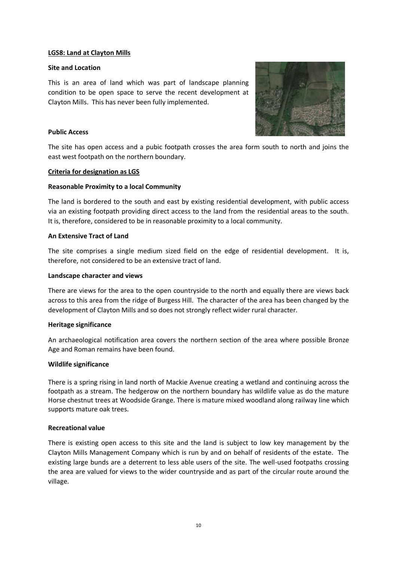# **LGS8: Land at Clayton Mills**

#### **Site and Location**

This is an area of land which was part of landscape planning condition to be open space to serve the recent development at Clayton Mills. This has never been fully implemented.



# **Public Access**

The site has open access and a pubic footpath crosses the area form south to north and joins the east west footpath on the northern boundary.

#### **Criteria for designation as LGS**

#### **Reasonable Proximity to a local Community**

The land is bordered to the south and east by existing residential development, with public access via an existing footpath providing direct access to the land from the residential areas to the south. It is, therefore, considered to be in reasonable proximity to a local community.

#### **An Extensive Tract of Land**

The site comprises a single medium sized field on the edge of residential development. It is, therefore, not considered to be an extensive tract of land.

#### **Landscape character and views**

There are views for the area to the open countryside to the north and equally there are views back across to this area from the ridge of Burgess Hill. The character of the area has been changed by the development of Clayton Mills and so does not strongly reflect wider rural character.

#### **Heritage significance**

An archaeological notification area covers the northern section of the area where possible Bronze Age and Roman remains have been found.

#### **Wildlife significance**

There is a spring rising in land north of Mackie Avenue creating a wetland and continuing across the footpath as a stream. The hedgerow on the northern boundary has wildlife value as do the mature Horse chestnut trees at Woodside Grange. There is mature mixed woodland along railway line which supports mature oak trees.

#### **Recreational value**

There is existing open access to this site and the land is subject to low key management by the Clayton Mills Management Company which is run by and on behalf of residents of the estate. The existing large bunds are a deterrent to less able users of the site. The well-used footpaths crossing the area are valued for views to the wider countryside and as part of the circular route around the village.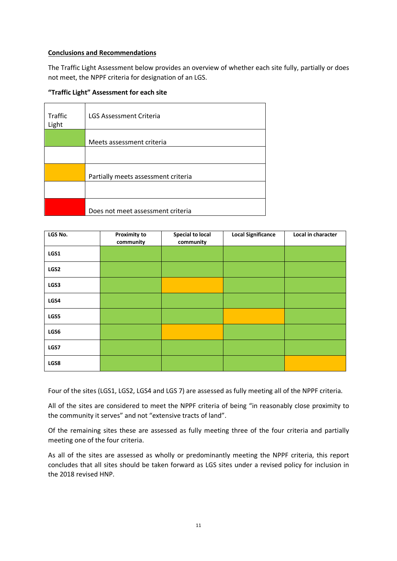# **Conclusions and Recommendations**

The Traffic Light Assessment below provides an overview of whether each site fully, partially or does not meet, the NPPF criteria for designation of an LGS.

# **"Traffic Light" Assessment for each site**

| Traffic<br>Light | LGS Assessment Criteria             |
|------------------|-------------------------------------|
|                  | Meets assessment criteria           |
|                  |                                     |
|                  | Partially meets assessment criteria |
|                  |                                     |
|                  | Does not meet assessment criteria   |

| LGS No. | <b>Proximity to</b><br>community | <b>Special to local</b><br>community | <b>Local Significance</b> | Local in character |
|---------|----------------------------------|--------------------------------------|---------------------------|--------------------|
| LGS1    |                                  |                                      |                           |                    |
| LGS2    |                                  |                                      |                           |                    |
| LGS3    |                                  |                                      |                           |                    |
| LGS4    |                                  |                                      |                           |                    |
| LGS5    |                                  |                                      |                           |                    |
| LGS6    |                                  |                                      |                           |                    |
| LGS7    |                                  |                                      |                           |                    |
| LGS8    |                                  |                                      |                           |                    |

Four of the sites (LGS1, LGS2, LGS4 and LGS 7) are assessed as fully meeting all of the NPPF criteria.

All of the sites are considered to meet the NPPF criteria of being "in reasonably close proximity to the community it serves" and not "extensive tracts of land".

Of the remaining sites these are assessed as fully meeting three of the four criteria and partially meeting one of the four criteria.

As all of the sites are assessed as wholly or predominantly meeting the NPPF criteria, this report concludes that all sites should be taken forward as LGS sites under a revised policy for inclusion in the 2018 revised HNP.